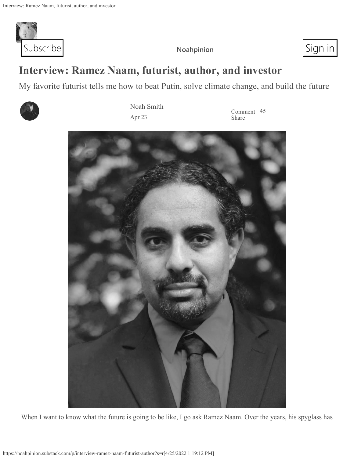

My favorite futurist tells me how to beat Putin, solve climate change, and build the future



Noah Smith Apr 23

Comment 45 Share



When I want to know what the future is going to be like, I go ask Ramez Naam. Over the years, his spyglass has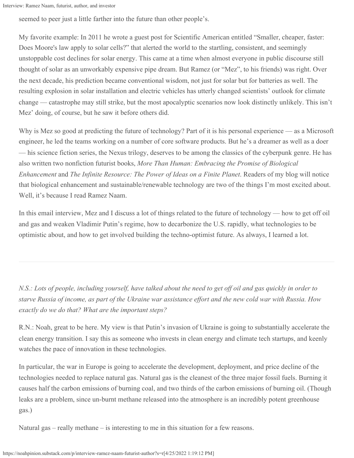seemed to peer just a little farther into the future than other people's.

My favorite example: In 2011 he wrote a guest post for Scientific American entitled "Smaller, cheaper, faster: Does Moore's law apply to solar cells?" that alerted the world to the startling, consistent, and seemingly unstoppable cost declines for solar energy. This came at a time when almost everyone in public discourse still thought of solar as an unworkably expensive pipe dream. But Ramez (or "Mez", to his friends) was right. Over the next decade, his prediction became conventional wisdom, not just for solar but for batteries as well. The resulting explosion in solar installation and electric vehicles has utterly changed scientists' outlook for climate change — catastrophe may still strike, but the most apocalyptic scenarios now look distinctly unlikely. This isn't Mez' doing, of course, but he saw it before others did.

Why is Mez so good at predicting the future of technology? Part of it is his personal experience — as a Microsoft engineer, he led the teams working on a number of core software products. But he's a dreamer as well as a doer — his science fiction series, the Nexus trilogy, deserves to be among the classics of the cyberpunk genre. He has also written two nonfiction futurist books, *More Than Human: Embracing the Promise of Biological Enhancement* and *The Infinite Resource: The Power of Ideas on a Finite Planet*. Readers of my blog will notice that biological enhancement and sustainable/renewable technology are two of the things I'm most excited about. Well, it's because I read Ramez Naam.

In this email interview, Mez and I discuss a lot of things related to the future of technology — how to get off oil and gas and weaken Vladimir Putin's regime, how to decarbonize the U.S. rapidly, what technologies to be optimistic about, and how to get involved building the techno-optimist future. As always, I learned a lot.

*N.S.: Lots of people, including yourself, have talked about the need to get off oil and gas quickly in order to starve Russia of income, as part of the Ukraine war assistance effort and the new cold war with Russia. How exactly do we do that? What are the important steps?*

R.N.: Noah, great to be here. My view is that Putin's invasion of Ukraine is going to substantially accelerate the clean energy transition. I say this as someone who invests in clean energy and climate tech startups, and keenly watches the pace of innovation in these technologies.

In particular, the war in Europe is going to accelerate the development, deployment, and price decline of the technologies needed to replace natural gas. Natural gas is the cleanest of the three major fossil fuels. Burning it causes half the carbon emissions of burning coal, and two thirds of the carbon emissions of burning oil. (Though leaks are a problem, since un-burnt methane released into the atmosphere is an incredibly potent greenhouse gas.)

Natural gas – really methane – is interesting to me in this situation for a few reasons.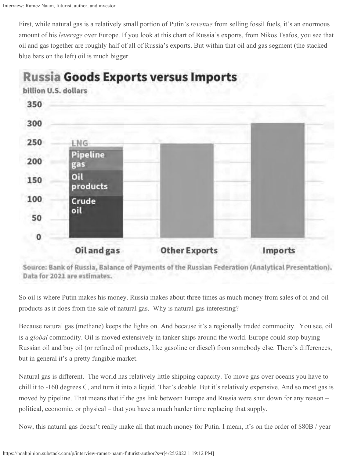First, while natural gas is a relatively small portion of Putin's *revenue* from selling fossil fuels, it's an enormous amount of his *leverage* over Europe. If you look at this chart of Russia's exports, from Nikos Tsafos, you see that oil and gas together are roughly half of all of Russia's exports. But within that oil and gas segment (the stacked blue bars on the left) oil is much bigger.



**Russia Goods Exports versus Imports** 

Source: Bank of Russia, Balance of Payments of the Russian Federation (Analytical Presentation). Data for 2021 are estimates.

So oil is where Putin makes his money. Russia makes about three times as much money from sales of oi and oil products as it does from the sale of natural gas. Why is natural gas interesting?

Because natural gas (methane) keeps the lights on. And because it's a regionally traded commodity. You see, oil is a *global* commodity. Oil is moved extensively in tanker ships around the world. Europe could stop buying Russian oil and buy oil (or refined oil products, like gasoline or diesel) from somebody else. There's differences, but in general it's a pretty fungible market.

Natural gas is different. The world has relatively little shipping capacity. To move gas over oceans you have to chill it to -160 degrees C, and turn it into a liquid. That's doable. But it's relatively expensive. And so most gas is moved by pipeline. That means that if the gas link between Europe and Russia were shut down for any reason – political, economic, or physical – that you have a much harder time replacing that supply.

Now, this natural gas doesn't really make all that much money for Putin. I mean, it's on the order of \$80B / year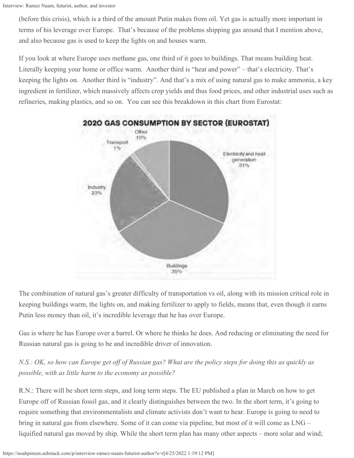(before this crisis), which is a third of the amount Putin makes from oil. Yet gas is actually more important in terms of his leverage over Europe. That's because of the problems shipping gas around that I mention above, and also because gas is used to keep the lights on and houses warm.

If you look at where Europe uses methane gas, one third of it goes to buildings. That means building heat. Literally keeping your home or office warm. Another third is "heat and power" – that's electricity. That's keeping the lights on. Another third is "industry". And that's a mix of using natural gas to make ammonia, a key ingredient in fertilizer, which massively affects crop yields and thus food prices, and other industrial uses such as refineries, making plastics, and so on. You can see this breakdown in this chart from Eurostat:



The combination of natural gas's greater difficulty of transportation vs oil, along with its mission critical role in keeping buildings warm, the lights on, and making fertilizer to apply to fields, means that, even though it earns Putin less money than oil, it's incredible leverage that he has over Europe.

Gas is where he has Europe over a barrel. Or where he thinks he does. And reducing or eliminating the need for Russian natural gas is going to be and incredible driver of innovation.

*N.S.: OK, so how can Europe get off of Russian gas? What are the policy steps for doing this as quickly as possible, with as little harm to the economy as possible?*

R.N.: There will be short term steps, and long term steps. The EU published a plan in March on how to get Europe off of Russian fossil gas, and it clearly distinguishes between the two. In the short term, it's going to require something that environmentalists and climate activists don't want to hear. Europe is going to need to bring in natural gas from elsewhere. Some of it can come via pipeline, but most of it will come as LNG – liquified natural gas moved by ship. While the short term plan has many other aspects – more solar and wind;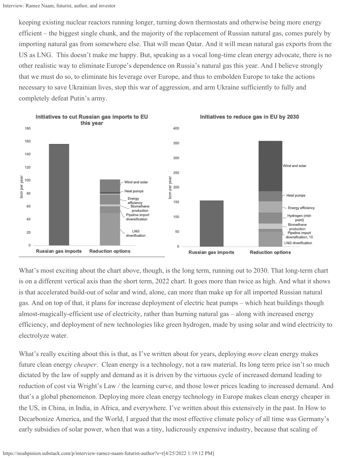keeping existing nuclear reactors running longer, turning down thermostats and otherwise being more energy efficient – the biggest single chunk, and the majority of the replacement of Russian natural gas, comes purely by importing natural gas from somewhere else. That will mean Qatar. And it will mean natural gas exports from the US as LNG. This doesn't make me happy. But, speaking as a vocal long-time clean energy advocate, there is no other realistic way to eliminate Europe's dependence on Russia's natural gas this year. And I believe strongly that we must do so, to eliminate his leverage over Europe, and thus to embolden Europe to take the actions necessary to save Ukrainian lives, stop this war of aggression, and arm Ukraine sufficiently to fully and completely defeat Putin's army.



What's most exciting about the chart above, though, is the long term, running out to 2030. That long-term chart is on a different vertical axis than the short term, 2022 chart. It goes more than twice as high. And what it shows is that accelerated build-out of solar and wind, alone, can more than make up for all imported Russian natural gas. And on top of that, it plans for increase deployment of electric heat pumps – which heat buildings though almost-magically-efficient use of electricity, rather than burning natural gas – along with increased energy efficiency, and deployment of new technologies like green hydrogen, made by using solar and wind electricity to electrolyze water.

What's really exciting about this is that, as I've written about for years, deploying *more* clean energy makes future clean energy *cheaper*. Clean energy is a technology, not a raw material. Its long term price isn't so much dictated by the law of supply and demand as it is driven by the virtuous cycle of increased demand leading to reduction of cost via Wright's Law / the learning curve, and those lower prices leading to increased demand. And that's a global phenomenon. Deploying more clean energy technology in Europe makes clean energy cheaper in the US, in China, in India, in Africa, and everywhere. I've written about this extensively in the past. In How to Decarbonize America, and the World, I argued that the most effective climate policy of all time was Germany's early subsidies of solar power, when that was a tiny, ludicrously expensive industry, because that scaling of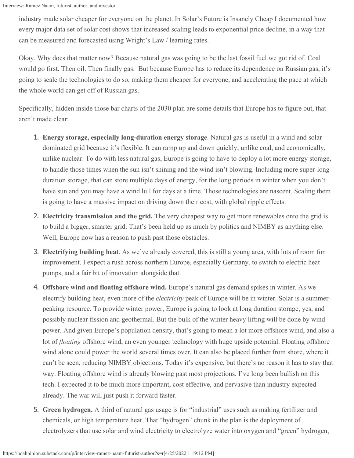industry made solar cheaper for everyone on the planet. In Solar's Future is Insanely Cheap I documented how every major data set of solar cost shows that increased scaling leads to exponential price decline, in a way that can be measured and forecasted using Wright's Law / learning rates.

Okay. Why does that matter now? Because natural gas was going to be the last fossil fuel we got rid of. Coal would go first. Then oil. Then finally gas. But because Europe has to reduce its dependence on Russian gas, it's going to scale the technologies to do so, making them cheaper for everyone, and accelerating the pace at which the whole world can get off of Russian gas.

Specifically, hidden inside those bar charts of the 2030 plan are some details that Europe has to figure out, that aren't made clear:

- 1. **Energy storage, especially long-duration energy storage**. Natural gas is useful in a wind and solar dominated grid because it's flexible. It can ramp up and down quickly, unlike coal, and economically, unlike nuclear. To do with less natural gas, Europe is going to have to deploy a lot more energy storage, to handle those times when the sun isn't shining and the wind isn't blowing. Including more super-longduration storage, that can store multiple days of energy, for the long periods in winter when you don't have sun and you may have a wind lull for days at a time. Those technologies are nascent. Scaling them is going to have a massive impact on driving down their cost, with global ripple effects.
- 2. **Electricity transmission and the grid.** The very cheapest way to get more renewables onto the grid is to build a bigger, smarter grid. That's been held up as much by politics and NIMBY as anything else. Well, Europe now has a reason to push past those obstacles.
- 3. **Electrifying building heat**. As we've already covered, this is still a young area, with lots of room for improvement. I expect a rush across northern Europe, especially Germany, to switch to electric heat pumps, and a fair bit of innovation alongside that.
- 4. **Offshore wind and floating offshore wind.** Europe's natural gas demand spikes in winter. As we electrify building heat, even more of the *electricity* peak of Europe will be in winter. Solar is a summerpeaking resource. To provide winter power, Europe is going to look at long duration storage, yes, and possibly nuclear fission and geothermal. But the bulk of the winter heavy lifting will be done by wind power. And given Europe's population density, that's going to mean a lot more offshore wind, and also a lot of *floating* offshore wind, an even younger technology with huge upside potential. Floating offshore wind alone could power the world several times over. It can also be placed further from shore, where it can't be seen, reducing NIMBY objections. Today it's expensive, but there's no reason it has to stay that way. Floating offshore wind is already blowing past most projections. I've long been bullish on this tech. I expected it to be much more important, cost effective, and pervasive than industry expected already. The war will just push it forward faster.
- 5. **Green hydrogen.** A third of natural gas usage is for "industrial" uses such as making fertilizer and chemicals, or high temperature heat. That "hydrogen" chunk in the plan is the deployment of electrolyzers that use solar and wind electricity to electrolyze water into oxygen and "green" hydrogen,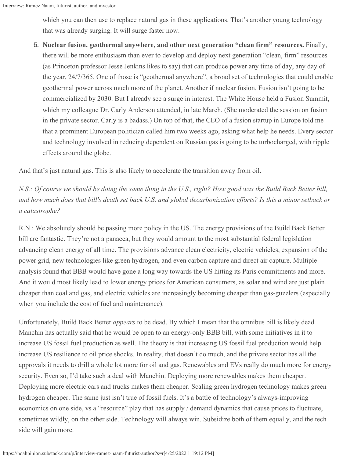which you can then use to replace natural gas in these applications. That's another young technology that was already surging. It will surge faster now.

6. **Nuclear fusion, geothermal anywhere, and other next generation "clean firm" resources.** Finally, there will be more enthusiasm than ever to develop and deploy next generation "clean, firm" resources (as Princeton professor Jesse Jenkins likes to say) that can produce power any time of day, any day of the year, 24/7/365. One of those is "geothermal anywhere", a broad set of technologies that could enable geothermal power across much more of the planet. Another if nuclear fusion. Fusion isn't going to be commercialized by 2030. But I already see a surge in interest. The White House held a Fusion Summit, which my colleague Dr. Carly Anderson attended, in late March. (She moderated the session on fusion in the private sector. Carly is a badass.) On top of that, the CEO of a fusion startup in Europe told me that a prominent European politician called him two weeks ago, asking what help he needs. Every sector and technology involved in reducing dependent on Russian gas is going to be turbocharged, with ripple effects around the globe.

And that's just natural gas. This is also likely to accelerate the transition away from oil.

*N.S.: Of course we should be doing the same thing in the U.S., right? How good was the Build Back Better bill, and how much does that bill's death set back U.S. and global decarbonization efforts? Is this a minor setback or a catastrophe?*

R.N.: We absolutely should be passing more policy in the US. The energy provisions of the Build Back Better bill are fantastic. They're not a panacea, but they would amount to the most substantial federal legislation advancing clean energy of all time. The provisions advance clean electricity, electric vehicles, expansion of the power grid, new technologies like green hydrogen, and even carbon capture and direct air capture. Multiple analysis found that BBB would have gone a long way towards the US hitting its Paris commitments and more. And it would most likely lead to lower energy prices for American consumers, as solar and wind are just plain cheaper than coal and gas, and electric vehicles are increasingly becoming cheaper than gas-guzzlers (especially when you include the cost of fuel and maintenance).

Unfortunately, Build Back Better *appears* to be dead. By which I mean that the omnibus bill is likely dead. Manchin has actually said that he would be open to an energy-only BBB bill, with some initiatives in it to increase US fossil fuel production as well. The theory is that increasing US fossil fuel production would help increase US resilience to oil price shocks. In reality, that doesn't do much, and the private sector has all the approvals it needs to drill a whole lot more for oil and gas. Renewables and EVs really do much more for energy security. Even so, I'd take such a deal with Manchin. Deploying more renewables makes them cheaper. Deploying more electric cars and trucks makes them cheaper. Scaling green hydrogen technology makes green hydrogen cheaper. The same just isn't true of fossil fuels. It's a battle of technology's always-improving economics on one side, vs a "resource" play that has supply / demand dynamics that cause prices to fluctuate, sometimes wildly, on the other side. Technology will always win. Subsidize both of them equally, and the tech side will gain more.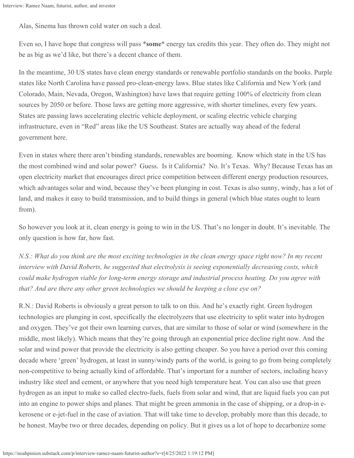Alas, Sinema has thrown cold water on such a deal.

Even so, I have hope that congress will pass \***some**\* energy tax credits this year. They often do. They might not be as big as we'd like, but there's a decent chance of them.

In the meantime, 30 US states have clean energy standards or renewable portfolio standards on the books. Purple states like North Carolina have passed pro-clean-energy laws. Blue states like California and New York (and Colorado, Main, Nevada, Oregon, Washington) have laws that require getting 100% of electricity from clean sources by 2050 or before. Those laws are getting more aggressive, with shorter timelines, every few years. States are passing laws accelerating electric vehicle deployment, or scaling electric vehicle charging infrastructure, even in "Red" areas like the US Southeast. States are actually way ahead of the federal government here.

Even in states where there aren't binding standards, renewables are booming. Know which state in the US has the most combined wind and solar power? Guess. Is it California? No. It's Texas. Why? Because Texas has an open electricity market that encourages direct price competition between different energy production resources, which advantages solar and wind, because they've been plunging in cost. Texas is also sunny, windy, has a lot of land, and makes it easy to build transmission, and to build things in general (which blue states ought to learn from).

So however you look at it, clean energy is going to win in the US. That's no longer in doubt. It's inevitable. The only question is how far, how fast.

*N.S.: What do you think are the most exciting technologies in the clean energy space right now? In my recent interview with David Roberts, he suggested that electrolysis is seeing exponentially decreasing costs, which could make hydrogen viable for long-term energy storage and industrial process heating. Do you agree with that? And are there any other green technologies we should be keeping a close eye on?*

R.N.: David Roberts is obviously a great person to talk to on this. And he's exactly right. Green hydrogen technologies are plunging in cost, specifically the electrolyzers that use electricity to split water into hydrogen and oxygen. They've got their own learning curves, that are similar to those of solar or wind (somewhere in the middle, most likely). Which means that they're going through an exponential price decline right now. And the solar and wind power that provide the electricity is also getting cheaper. So you have a period over this coming decade where 'green' hydrogen, at least in sunny/windy parts of the world, is going to go from being completely non-competitive to being actually kind of affordable. That's important for a number of sectors, including heavy industry like steel and cement, or anywhere that you need high temperature heat. You can also use that green hydrogen as an input to make so called electro-fuels, fuels from solar and wind, that are liquid fuels you can put into an engine to power ships and planes. That might be green ammonia in the case of shipping, or a drop-in ekerosene or e-jet-fuel in the case of aviation. That will take time to develop, probably more than this decade, to be honest. Maybe two or three decades, depending on policy. But it gives us a lot of hope to decarbonize some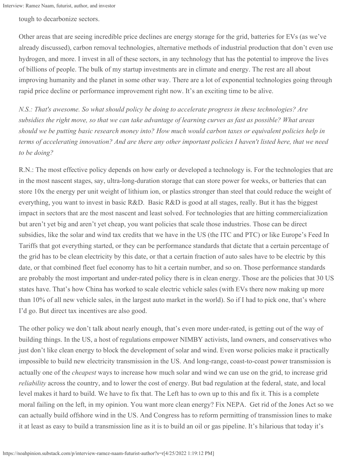tough to decarbonize sectors.

Other areas that are seeing incredible price declines are energy storage for the grid, batteries for EVs (as we've already discussed), carbon removal technologies, alternative methods of industrial production that don't even use hydrogen, and more. I invest in all of these sectors, in any technology that has the potential to improve the lives of billions of people. The bulk of my startup investments are in climate and energy. The rest are all about improving humanity and the planet in some other way. There are a lot of exponential technologies going through rapid price decline or performance improvement right now. It's an exciting time to be alive.

*N.S.: That's awesome. So what should policy be doing to accelerate progress in these technologies? Are subsidies the right move, so that we can take advantage of learning curves as fast as possible? What areas should we be putting basic research money into? How much would carbon taxes or equivalent policies help in terms of accelerating innovation? And are there any other important policies I haven't listed here, that we need to be doing?*

R.N.: The most effective policy depends on how early or developed a technology is. For the technologies that are in the most nascent stages, say, ultra-long-duration storage that can store power for weeks, or batteries that can store 10x the energy per unit weight of lithium ion, or plastics stronger than steel that could reduce the weight of everything, you want to invest in basic R&D. Basic R&D is good at all stages, really. But it has the biggest impact in sectors that are the most nascent and least solved. For technologies that are hitting commercialization but aren't yet big and aren't yet cheap, you want policies that scale those industries. Those can be direct subsidies, like the solar and wind tax credits that we have in the US (the ITC and PTC) or like Europe's Feed In Tariffs that got everything started, or they can be performance standards that dictate that a certain percentage of the grid has to be clean electricity by this date, or that a certain fraction of auto sales have to be electric by this date, or that combined fleet fuel economy has to hit a certain number, and so on. Those performance standards are probably the most important and under-rated policy there is in clean energy. Those are the policies that 30 US states have. That's how China has worked to scale electric vehicle sales (with EVs there now making up more than 10% of all new vehicle sales, in the largest auto market in the world). So if I had to pick one, that's where I'd go. But direct tax incentives are also good.

The other policy we don't talk about nearly enough, that's even more under-rated, is getting out of the way of building things. In the US, a host of regulations empower NIMBY activists, land owners, and conservatives who just don't like clean energy to block the development of solar and wind. Even worse policies make it practically impossible to build new electricity transmission in the US. And long-range, coast-to-coast power transmission is actually one of the *cheapest* ways to increase how much solar and wind we can use on the grid, to increase grid *reliability* across the country, and to lower the cost of energy. But bad regulation at the federal, state, and local level makes it hard to build. We have to fix that. The Left has to own up to this and fix it. This is a complete moral failing on the left, in my opinion. You want more clean energy? Fix NEPA. Get rid of the Jones Act so we can actually build offshore wind in the US. And Congress has to reform permitting of transmission lines to make it at least as easy to build a transmission line as it is to build an oil or gas pipeline. It's hilarious that today it's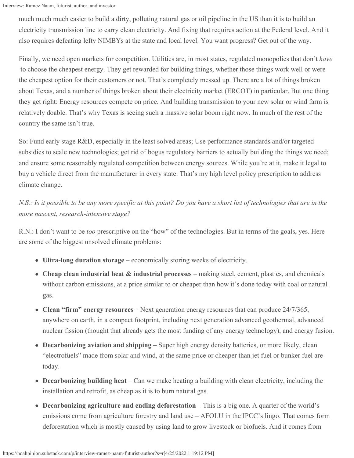much much much easier to build a dirty, polluting natural gas or oil pipeline in the US than it is to build an electricity transmission line to carry clean electricity. And fixing that requires action at the Federal level. And it also requires defeating lefty NIMBYs at the state and local level. You want progress? Get out of the way.

Finally, we need open markets for competition. Utilities are, in most states, regulated monopolies that don't *have* to choose the cheapest energy. They get rewarded for building things, whether those things work well or were the cheapest option for their customers or not. That's completely messed up. There are a lot of things broken about Texas, and a number of things broken about their electricity market (ERCOT) in particular. But one thing they get right: Energy resources compete on price. And building transmission to your new solar or wind farm is relatively doable. That's why Texas is seeing such a massive solar boom right now. In much of the rest of the country the same isn't true.

So: Fund early stage R&D, especially in the least solved areas; Use performance standards and/or targeted subsidies to scale new technologies; get rid of bogus regulatory barriers to actually building the things we need; and ensure some reasonably regulated competition between energy sources. While you're at it, make it legal to buy a vehicle direct from the manufacturer in every state. That's my high level policy prescription to address climate change.

*N.S.: Is it possible to be any more specific at this point? Do you have a short list of technologies that are in the more nascent, research-intensive stage?*

R.N.: I don't want to be *too* prescriptive on the "how" of the technologies. But in terms of the goals, yes. Here are some of the biggest unsolved climate problems:

- **Ultra-long duration storage**  economically storing weeks of electricity.
- **Cheap clean industrial heat & industrial processes** making steel, cement, plastics, and chemicals without carbon emissions, at a price similar to or cheaper than how it's done today with coal or natural gas.
- **Clean "firm" energy resources**  Next generation energy resources that can produce 24/7/365, anywhere on earth, in a compact footprint, including next generation advanced geothermal, advanced nuclear fission (thought that already gets the most funding of any energy technology), and energy fusion.
- **Decarbonizing aviation and shipping**  Super high energy density batteries, or more likely, clean "electrofuels" made from solar and wind, at the same price or cheaper than jet fuel or bunker fuel are today.
- **Decarbonizing building heat**  Can we make heating a building with clean electricity, including the installation and retrofit, as cheap as it is to burn natural gas.
- **Decarbonizing agriculture and ending deforestation** This is a big one. A quarter of the world's emissions come from agriculture forestry and land use – AFOLU in the IPCC's lingo. That comes form deforestation which is mostly caused by using land to grow livestock or biofuels. And it comes from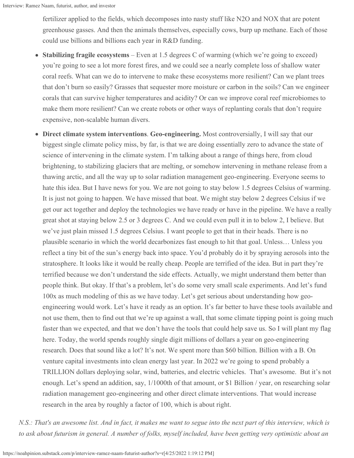fertilizer applied to the fields, which decomposes into nasty stuff like N2O and NOX that are potent greenhouse gasses. And then the animals themselves, especially cows, burp up methane. Each of those could use billions and billions each year in R&D funding.

- **Stabilizing fragile ecosystems** Even at 1.5 degrees C of warming (which we're going to exceed)  $\bullet$ you're going to see a lot more forest fires, and we could see a nearly complete loss of shallow water coral reefs. What can we do to intervene to make these ecosystems more resilient? Can we plant trees that don't burn so easily? Grasses that sequester more moisture or carbon in the soils? Can we engineer corals that can survive higher temperatures and acidity? Or can we improve coral reef microbiomes to make them more resilient? Can we create robots or other ways of replanting corals that don't require expensive, non-scalable human divers.
- **Direct climate system interventions**. **Geo-engineering.** Most controversially, I will say that our biggest single climate policy miss, by far, is that we are doing essentially zero to advance the state of science of intervening in the climate system. I'm talking about a range of things here, from cloud brightening, to stabilizing glaciers that are melting, or somehow intervening in methane release from a thawing arctic, and all the way up to solar radiation management geo-engineering. Everyone seems to hate this idea. But I have news for you. We are not going to stay below 1.5 degrees Celsius of warming. It is just not going to happen. We have missed that boat. We might stay below 2 degrees Celsius if we get our act together and deploy the technologies we have ready or have in the pipeline. We have a really great shot at staying below 2.5 or 3 degrees C. And we could even pull it in to below 2, I believe. But we've just plain missed 1.5 degrees Celsius. I want people to get that in their heads. There is no plausible scenario in which the world decarbonizes fast enough to hit that goal. Unless… Unless you reflect a tiny bit of the sun's energy back into space. You'd probably do it by spraying aerosols into the stratosphere. It looks like it would be really cheap. People are terrified of the idea. But in part they're terrified because we don't understand the side effects. Actually, we might understand them better than people think. But okay. If that's a problem, let's do some very small scale experiments. And let's fund 100x as much modeling of this as we have today. Let's get serious about understanding how geoengineering would work. Let's have it ready as an option. It's far better to have these tools available and not use them, then to find out that we're up against a wall, that some climate tipping point is going much faster than we expected, and that we don't have the tools that could help save us. So I will plant my flag here. Today, the world spends roughly single digit millions of dollars a year on geo-engineering research. Does that sound like a lot? It's not. We spent more than \$60 billion. Billion with a B. On venture capital investments into clean energy last year. In 2022 we're going to spend probably a TRILLION dollars deploying solar, wind, batteries, and electric vehicles. That's awesome. But it's not enough. Let's spend an addition, say, 1/1000th of that amount, or \$1 Billion / year, on researching solar radiation management geo-engineering and other direct climate interventions. That would increase research in the area by roughly a factor of 100, which is about right.

*N.S.: That's an awesome list. And in fact, it makes me want to segue into the next part of this interview, which is to ask about futurism in general. A number of folks, myself included, have been getting very optimistic about an*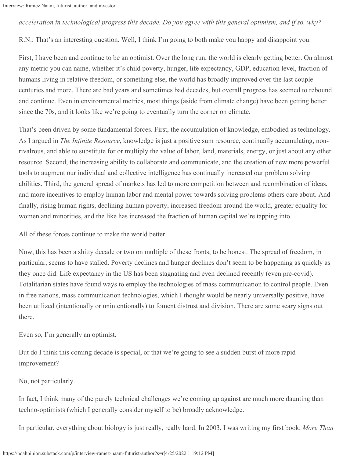## *acceleration in technological progress this decade. Do you agree with this general optimism, and if so, why?*

R.N.: That's an interesting question. Well, I think I'm going to both make you happy and disappoint you.

First, I have been and continue to be an optimist. Over the long run, the world is clearly getting better. On almost any metric you can name, whether it's child poverty, hunger, life expectancy, GDP, education level, fraction of humans living in relative freedom, or something else, the world has broadly improved over the last couple centuries and more. There are bad years and sometimes bad decades, but overall progress has seemed to rebound and continue. Even in environmental metrics, most things (aside from climate change) have been getting better since the 70s, and it looks like we're going to eventually turn the corner on climate.

That's been driven by some fundamental forces. First, the accumulation of knowledge, embodied as technology. As I argued in *The Infinite Resource*, knowledge is just a positive sum resource, continually accumulating, nonrivalrous, and able to substitute for or multiply the value of labor, land, materials, energy, or just about any other resource. Second, the increasing ability to collaborate and communicate, and the creation of new more powerful tools to augment our individual and collective intelligence has continually increased our problem solving abilities. Third, the general spread of markets has led to more competition between and recombination of ideas, and more incentives to employ human labor and mental power towards solving problems others care about. And finally, rising human rights, declining human poverty, increased freedom around the world, greater equality for women and minorities, and the like has increased the fraction of human capital we're tapping into.

All of these forces continue to make the world better.

Now, this has been a shitty decade or two on multiple of these fronts, to be honest. The spread of freedom, in particular, seems to have stalled. Poverty declines and hunger declines don't seem to be happening as quickly as they once did. Life expectancy in the US has been stagnating and even declined recently (even pre-covid). Totalitarian states have found ways to employ the technologies of mass communication to control people. Even in free nations, mass communication technologies, which I thought would be nearly universally positive, have been utilized (intentionally or unintentionally) to foment distrust and division. There are some scary signs out there.

Even so, I'm generally an optimist.

But do I think this coming decade is special, or that we're going to see a sudden burst of more rapid improvement?

No, not particularly.

In fact, I think many of the purely technical challenges we're coming up against are much more daunting than techno-optimists (which I generally consider myself to be) broadly acknowledge.

In particular, everything about biology is just really, really hard. In 2003, I was writing my first book, *More Than*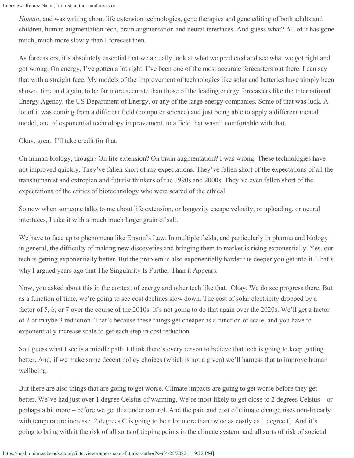*Human*, and was writing about life extension technologies, gene therapies and gene editing of both adults and children, human augmentation tech, brain augmentation and neural interfaces. And guess what? All of it has gone much, much more slowly than I forecast then.

As forecasters, it's absolutely essential that we actually look at what we predicted and see what we got right and got wrong. On energy, I've gotten a lot right. I've been one of the most accurate forecasters out there. I can say that with a straight face. My models of the improvement of technologies like solar and batteries have simply been shown, time and again, to be far more accurate than those of the leading energy forecasters like the International Energy Agency, the US Department of Energy, or any of the large energy companies. Some of that was luck. A lot of it was coming from a different field (computer science) and just being able to apply a different mental model, one of exponential technology improvement, to a field that wasn't comfortable with that.

Okay, great, I'll take credit for that.

On human biology, though? On life extension? On brain augmentation? I was wrong. These technologies have not improved quickly. They've fallen short of my expectations. They've fallen short of the expectations of all the transhumanist and extropian and futurist thinkers of the 1990s and 2000s. They've even fallen short of the expectations of the critics of biotechnology who were scared of the ethical

So now when someone talks to me about life extension, or longevity escape velocity, or uploading, or neural interfaces, I take it with a much much larger grain of salt.

We have to face up to phenomena like Eroom's Law. In multiple fields, and particularly in pharma and biology in general, the difficulty of making new discoveries and bringing them to market is rising exponentially. Yes, our tech is getting exponentially better. But the problem is also exponentially harder the deeper you get into it. That's why I argued years ago that The Singularity Is Further Than it Appears.

Now, you asked about this in the context of energy and other tech like that. Okay. We do see progress there. But as a function of time, we're going to see cost declines slow down. The cost of solar electricity dropped by a factor of 5, 6, or 7 over the course of the 2010s. It's not going to do that again over the 2020s. We'll get a factor of 2 or maybe 3 reduction. That's because these things get cheaper as a function of scale, and you have to exponentially increase scale to get each step in cost reduction.

So I guess what I see is a middle path. I think there's every reason to believe that tech is going to keep getting better. And, if we make some decent policy choices (which is not a given) we'll harness that to improve human wellbeing.

But there are also things that are going to get worse. Climate impacts are going to get worse before they get better. We've had just over 1 degree Celsius of warming. We're most likely to get close to 2 degrees Celsius – or perhaps a bit more – before we get this under control. And the pain and cost of climate change rises non-linearly with temperature increase. 2 degrees C is going to be a lot more than twice as costly as 1 degree C. And it's going to bring with it the risk of all sorts of tipping points in the climate system, and all sorts of risk of societal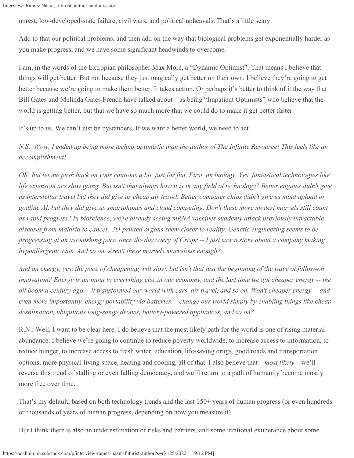```
Interview: Ramez Naam, futurist, author, and investor
```
unrest, low-developed-state failure, civil wars, and political upheavals. That's a little scary.

Add to that our political problems, and then add on the way that biological problems get exponentially harder as you make progress, and we have some significant headwinds to overcome.

I am, in the words of the Extropian philosopher Max More, a "Dynamic Optimist". That means I believe that things will get better. But not because they just magically get better on their own. I believe they're going to get better because we're going to make them better. It takes action. Or perhaps it's better to think of it the way that Bill Gates and Melinda Gates French have talked about – as being "Impatient Optimists" who believe that the world is getting better, but that we have so much more that we could do to make it get better faster.

It's up to us. We can't just be bystanders. If we want a better world, we need to act.

*N.S.: Wow, I ended up being more techno-optimistic than the author of The Infinite Resource! This feels like an accomplishment!*

*OK, but let me push back on your cautions a bit, just for fun. First, on biology. Yes, fantastical technologies like life extension are slow going. But isn't that always how it is in any field of technology? Better engines didn't give us interstellar travel but they did give us cheap air travel. Better computer chips didn't give us mind upload or godline AI, but they did give us smartphones and cloud computing. Don't these more modest marvels still count as rapid progress? In bioscience, we're already seeing mRNA vaccines suddenly attack previously intractable diseases from malaria to cancer. 3D-printed organs seem closer to reality. Genetic engineering seems to be progressing at an astonishing pace since the discovery of Crispr -- I just saw a story about a company making hypoallergenic cats. And so on. Aren't these marvels marvelous enough?*

*And on energy, yes, the pace of cheapening will slow, but isn't that just the beginning of the wave of follow-on innovation? Energy is an input to everything else in our economy, and the last time we got cheaper energy -- the oil boom a century ago -- it transformed our world with cars, air travel, and so on. Won't cheaper energy -- and even more importantly, energy portability via batteries -- change our world simply by enabling things like cheap desalination, ubiquitous long-range drones, battery-powered appliances, and so on?*

R.N.: Well, I want to be clear here. I do believe that the most likely path for the world is one of rising material abundance. I believe we're going to continue to reduce poverty worldwide, to increase access to information, to reduce hunger, to increase access to fresh water, education, life-saving drugs, good roads and transportation options, more physical living space, heating and cooling, all of that. I also believe that – *most likely* – we'll reverse this trend of stalling or even falling democracy, and we'll return to a path of humanity become mostly more free over time.

That's my default, based on both technology trends and the last 150+ years of human progress (or even hundreds or thousands of years of human progress, depending on how you measure it).

But I think there is also an underestimation of risks and barriers, and some irrational exuberance about some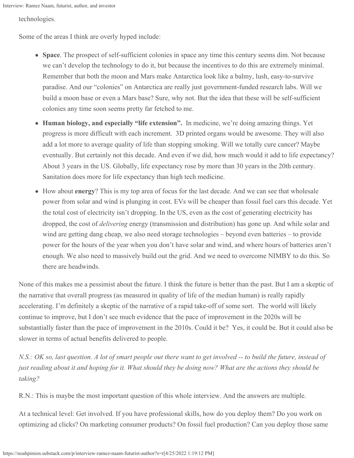technologies.

Some of the areas I think are overly hyped include:

- **Space**. The prospect of self-sufficient colonies in space any time this century seems dim. Not because we can't develop the technology to do it, but because the incentives to do this are extremely minimal. Remember that both the moon and Mars make Antarctica look like a balmy, lush, easy-to-survive paradise. And our "colonies" on Antarctica are really just government-funded research labs. Will we build a moon base or even a Mars base? Sure, why not. But the idea that these will be self-sufficient colonies any time soon seems pretty far fetched to me.
- **Human biology, and especially "life extension".** In medicine, we're doing amazing things. Yet  $\bullet$ progress is more difficult with each increment. 3D printed organs would be awesome. They will also add a lot more to average quality of life than stopping smoking. Will we totally cure cancer? Maybe eventually. But certainly not this decade. And even if we did, how much would it add to life expectancy? About 3 years in the US. Globally, life expectancy rose by more than 30 years in the 20th century. Sanitation does more for life expectancy than high tech medicine.
- How about **energy**? This is my top area of focus for the last decade. And we can see that wholesale power from solar and wind is plunging in cost. EVs will be cheaper than fossil fuel cars this decade. Yet the total cost of electricity isn't dropping. In the US, even as the cost of generating electricity has dropped, the cost of *delivering* energy (transmission and distribution) has gone up. And while solar and wind are getting dang cheap, we also need storage technologies – beyond even batteries – to provide power for the hours of the year when you don't have solar and wind, and where hours of batteries aren't enough. We also need to massively build out the grid. And we need to overcome NIMBY to do this. So there are headwinds.

None of this makes me a pessimist about the future. I think the future is better than the past. But I am a skeptic of the narrative that overall progress (as measured in quality of life of the median human) is really rapidly accelerating. I'm definitely a skeptic of the narrative of a rapid take-off of some sort. The world will likely continue to improve, but I don't see much evidence that the pace of improvement in the 2020s will be substantially faster than the pace of improvement in the 2010s. Could it be? Yes, it could be. But it could also be slower in terms of actual benefits delivered to people.

*N.S.: OK so, last question. A lot of smart people out there want to get involved -- to build the future, instead of just reading about it and hoping for it. What should they be doing now? What are the actions they should be taking?*

R.N.: This is maybe the most important question of this whole interview. And the answers are multiple.

At a technical level: Get involved. If you have professional skills, how do you deploy them? Do you work on optimizing ad clicks? On marketing consumer products? On fossil fuel production? Can you deploy those same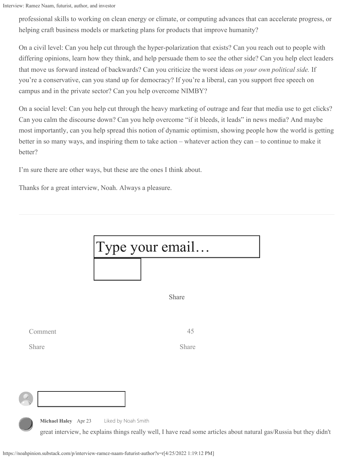professional skills to working on clean energy or climate, or computing advances that can accelerate progress, or helping craft business models or marketing plans for products that improve humanity?

On a civil level: Can you help cut through the hyper-polarization that exists? Can you reach out to people with differing opinions, learn how they think, and help persuade them to see the other side? Can you help elect leaders that move us forward instead of backwards? Can you criticize the worst ideas *on your own political side.* If you're a conservative, can you stand up for democracy? If you're a liberal, can you support free speech on campus and in the private sector? Can you help overcome NIMBY?

On a social level: Can you help cut through the heavy marketing of outrage and fear that media use to get clicks? Can you calm the discourse down? Can you help overcome "if it bleeds, it leads" in news media? And maybe most importantly, can you help spread this notion of dynamic optimism, showing people how the world is getting better in so many ways, and inspiring them to take action – whatever action they can – to continue to make it better?

I'm sure there are other ways, but these are the ones I think about.

Thanks for a great interview, Noah. Always a pleasure.

|                      | Type your email                                                                                                                            |
|----------------------|--------------------------------------------------------------------------------------------------------------------------------------------|
|                      |                                                                                                                                            |
|                      | Share                                                                                                                                      |
| Comment              | 45                                                                                                                                         |
| Share                | Share                                                                                                                                      |
|                      |                                                                                                                                            |
|                      |                                                                                                                                            |
| Michael Haley Apr 23 | Liked by Noah Smith<br>great interview, he explains things really well, I have read some articles about natural gas/Russia but they didn't |